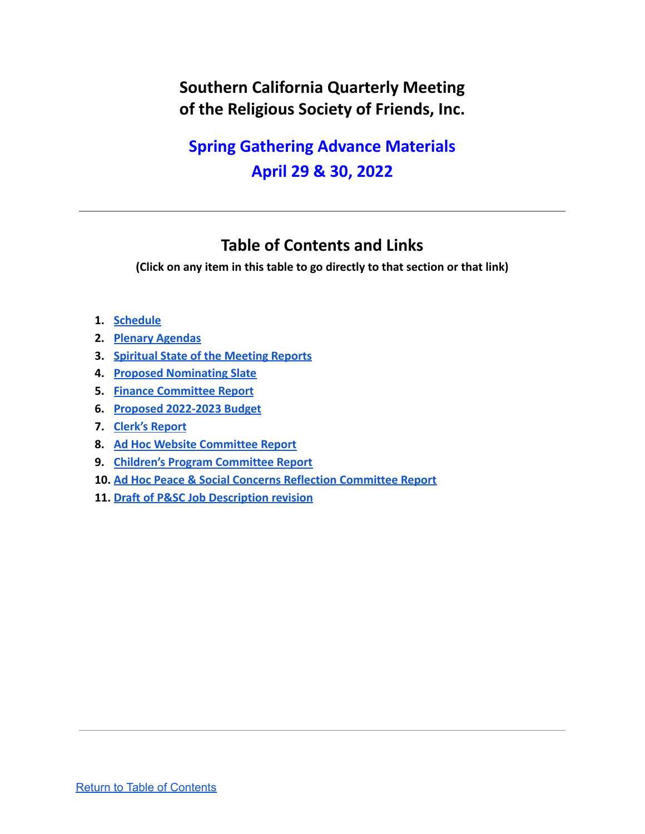# **Southern California Quarterly Meeting of the Religious Society of Friends, Inc.**

# **Spring Gathering Advance Materials April 29 & 30, 2022**

# **Table of Contents and Links**

<span id="page-0-0"></span>**(Click on any item in this table to go directly to that section or that link)**

- **1. Schedule**
- **2. Plenary Agendas**
- **3. [Spiritual State of the Meeting Reports](https://drive.google.com/file/d/14mjUT6xF24z2nQYlxYcXT7AFfP29OF1e/view?usp=sharing)**
- **4. [Proposed Nominating Slate](#page-2-0)**
- **5. [Finance Committee Report](#page-5-0)**
- **6. [Proposed 2022-2023 Budget](https://drive.google.com/file/d/1A_FX30x6pm1Kniei2HZLtayE3g_qB50U/view?usp=sharing)**
- **7. [Clerk's Report](#page-6-0)**
- **8. [Ad Hoc Website Committee Report](#page-7-0)**
- **9. [Children's Program Committee Report](#page-8-0)**
- **10. [Ad Hoc Peace & Social Concerns Reflection Committee Report](#page-9-0)**
- **11. [Draft of P&SC Job Description revision](#page-9-1)**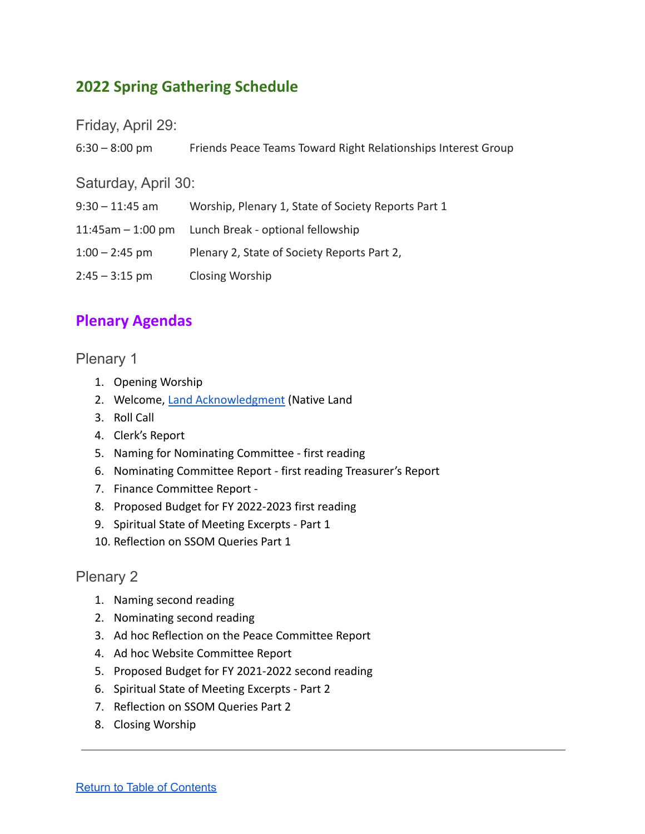# **2022 Spring Gathering Schedule**

Friday, April 29:

| $6:30 - 8:00$ pm    | Friends Peace Teams Toward Right Relationships Interest Group |
|---------------------|---------------------------------------------------------------|
| Saturday, April 30: |                                                               |
| $9:30 - 11:45$ am   | Worship, Plenary 1, State of Society Reports Part 1           |
| $11:45am - 1:00 pm$ | Lunch Break - optional fellowship                             |
| $1:00 - 2:45$ pm    | Plenary 2, State of Society Reports Part 2,                   |
| $2:45 - 3:15$ pm    | Closing Worship                                               |

# **Plenary Agendas**

## Plenary 1

- 1. Opening Worship
- 2. Welcome, [Land Acknowledgment](https://native-land.ca/) (Native Land
- 3. Roll Call
- 4. Clerk's Report
- 5. Naming for Nominating Committee first reading
- 6. Nominating Committee Report first reading Treasurer's Report
- 7. Finance Committee Report -
- 8. Proposed Budget for FY 2022-2023 first reading
- 9. Spiritual State of Meeting Excerpts Part 1
- 10. Reflection on SSOM Queries Part 1

## Plenary 2

- 1. Naming second reading
- 2. Nominating second reading
- 3. Ad hoc Reflection on the Peace Committee Report
- 4. Ad hoc Website Committee Report
- 5. Proposed Budget for FY 2021-2022 second reading
- 6. Spiritual State of Meeting Excerpts Part 2
- 7. Reflection on SSOM Queries Part 2
- 8. Closing Worship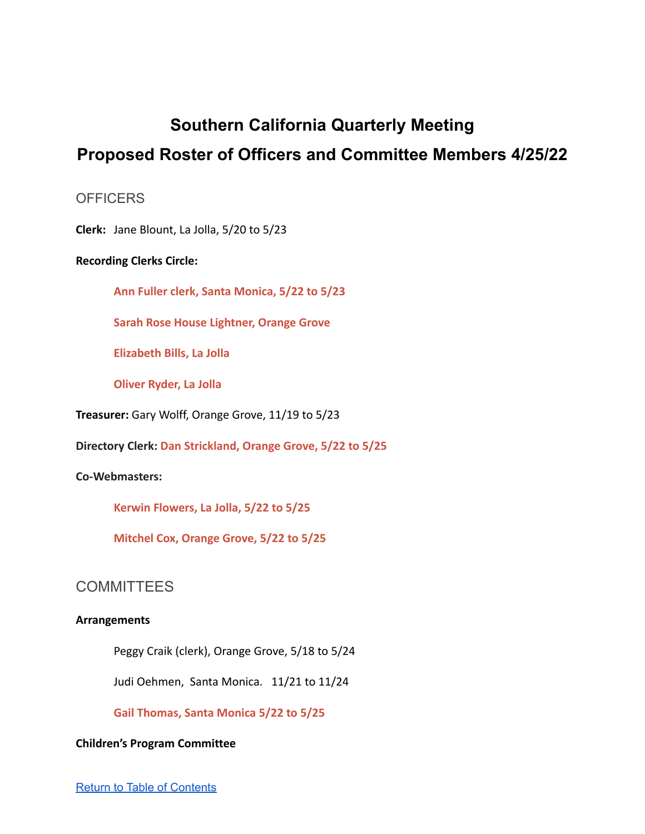# **Southern California Quarterly Meeting**

# <span id="page-2-0"></span>**Proposed Roster of Officers and Committee Members 4/25/22**

## **OFFICERS**

**Clerk:** Jane Blount, La Jolla, 5/20 to 5/23

### **Recording Clerks Circle:**

**Ann Fuller clerk, Santa Monica, 5/22 to 5/23**

**Sarah Rose House Lightner, Orange Grove**

**Elizabeth Bills, La Jolla**

**Oliver Ryder, La Jolla**

**Treasurer:** Gary Wolff, Orange Grove, 11/19 to 5/23

**Directory Clerk: Dan Strickland, Orange Grove, 5/22 to 5/25**

### **Co-Webmasters:**

**Kerwin Flowers, La Jolla, 5/22 to 5/25**

**Mitchel Cox, Orange Grove, 5/22 to 5/25**

## **COMMITTEES**

#### **Arrangements**

Peggy Craik (clerk), Orange Grove, 5/18 to 5/24

Judi Oehmen, Santa Monica. 11/21 to 11/24

**Gail Thomas, Santa Monica 5/22 to 5/25**

#### **Children's Program Committee**

Return to Table of [Contents](#page-0-0)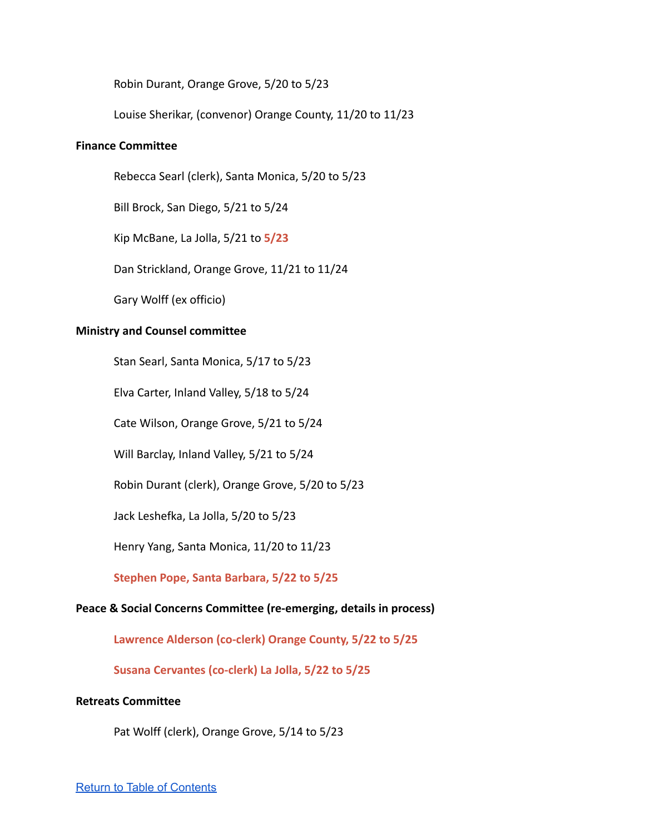Robin Durant, Orange Grove, 5/20 to 5/23

Louise Sherikar, (convenor) Orange County, 11/20 to 11/23

#### **Finance Committee**

Rebecca Searl (clerk), Santa Monica, 5/20 to 5/23

Bill Brock, San Diego, 5/21 to 5/24

Kip McBane, La Jolla, 5/21 to **5/23**

Dan Strickland, Orange Grove, 11/21 to 11/24

Gary Wolff (ex officio)

#### **Ministry and Counsel committee**

Stan Searl, Santa Monica, 5/17 to 5/23

Elva Carter, Inland Valley, 5/18 to 5/24

Cate Wilson, Orange Grove, 5/21 to 5/24

Will Barclay, Inland Valley, 5/21 to 5/24

Robin Durant (clerk), Orange Grove, 5/20 to 5/23

Jack Leshefka, La Jolla, 5/20 to 5/23

Henry Yang, Santa Monica, 11/20 to 11/23

**Stephen Pope, Santa Barbara, 5/22 to 5/25**

#### **Peace & Social Concerns Committee (re-emerging, details in process)**

**Lawrence Alderson (co-clerk) Orange County, 5/22 to 5/25**

**Susana Cervantes (co-clerk) La Jolla, 5/22 to 5/25**

#### **Retreats Committee**

Pat Wolff (clerk), Orange Grove, 5/14 to 5/23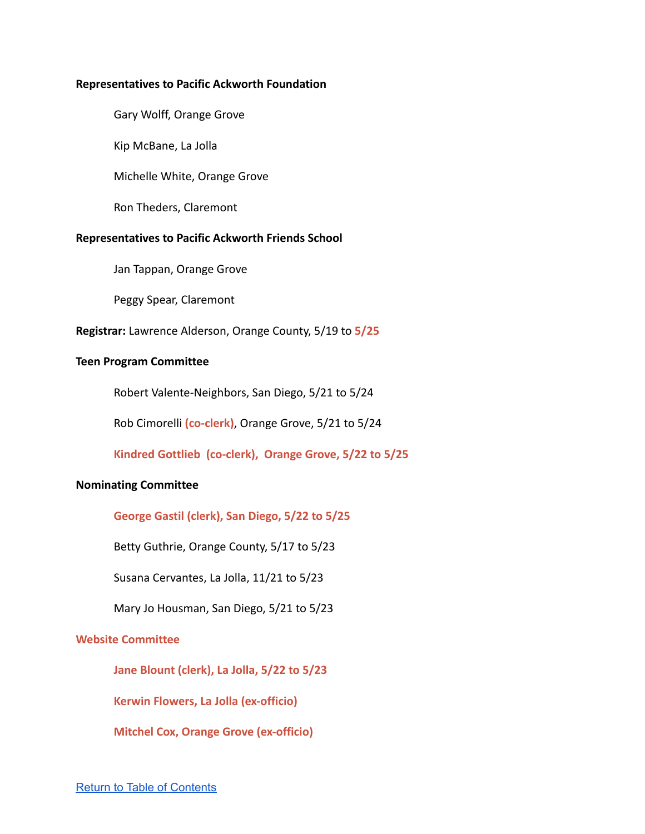#### **Representatives to Pacific Ackworth Foundation**

Gary Wolff, Orange Grove

Kip McBane, La Jolla

Michelle White, Orange Grove

Ron Theders, Claremont

#### **Representatives to Pacific Ackworth Friends School**

Jan Tappan, Orange Grove

Peggy Spear, Claremont

**Registrar:** Lawrence Alderson, Orange County, 5/19 to **5/25**

#### **Teen Program Committee**

Robert Valente-Neighbors, San Diego, 5/21 to 5/24

Rob Cimorelli **(co-clerk)**, Orange Grove, 5/21 to 5/24

**Kindred Gottlieb (co-clerk), Orange Grove, 5/22 to 5/25**

#### **Nominating Committee**

**George Gastil (clerk), San Diego, 5/22 to 5/25**

Betty Guthrie, Orange County, 5/17 to 5/23

Susana Cervantes, La Jolla, 11/21 to 5/23

Mary Jo Housman, San Diego, 5/21 to 5/23

#### **Website Committee**

**Jane Blount (clerk), La Jolla, 5/22 to 5/23**

**Kerwin Flowers, La Jolla (ex-officio)**

**Mitchel Cox, Orange Grove (ex-officio)**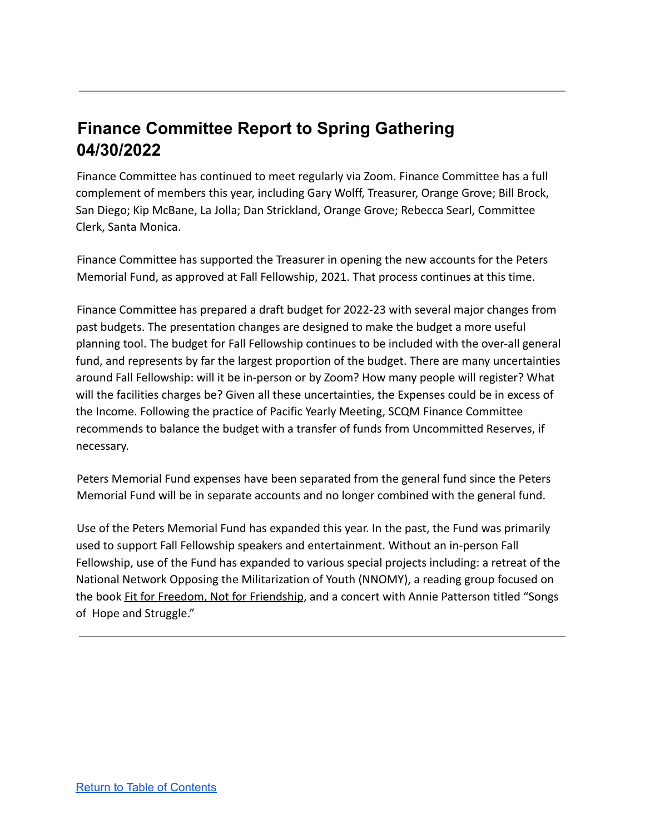# <span id="page-5-0"></span>**Finance Committee Report to Spring Gathering 04/30/2022**

Finance Committee has continued to meet regularly via Zoom. Finance Committee has a full complement of members this year, including Gary Wolff, Treasurer, Orange Grove; Bill Brock, San Diego; Kip McBane, La Jolla; Dan Strickland, Orange Grove; Rebecca Searl, Committee Clerk, Santa Monica.

Finance Committee has supported the Treasurer in opening the new accounts for the Peters Memorial Fund, as approved at Fall Fellowship, 2021. That process continues at this time.

Finance Committee has prepared a draft budget for 2022-23 with several major changes from past budgets. The presentation changes are designed to make the budget a more useful planning tool. The budget for Fall Fellowship continues to be included with the over-all general fund, and represents by far the largest proportion of the budget. There are many uncertainties around Fall Fellowship: will it be in-person or by Zoom? How many people will register? What will the facilities charges be? Given all these uncertainties, the Expenses could be in excess of the Income. Following the practice of Pacific Yearly Meeting, SCQM Finance Committee recommends to balance the budget with a transfer of funds from Uncommitted Reserves, if necessary.

Peters Memorial Fund expenses have been separated from the general fund since the Peters Memorial Fund will be in separate accounts and no longer combined with the general fund.

Use of the Peters Memorial Fund has expanded this year. In the past, the Fund was primarily used to support Fall Fellowship speakers and entertainment. Without an in-person Fall Fellowship, use of the Fund has expanded to various special projects including: a retreat of the National Network Opposing the Militarization of Youth (NNOMY), a reading group focused on the book Fit for Freedom, Not for Friendship, and a concert with Annie Patterson titled "Songs of Hope and Struggle."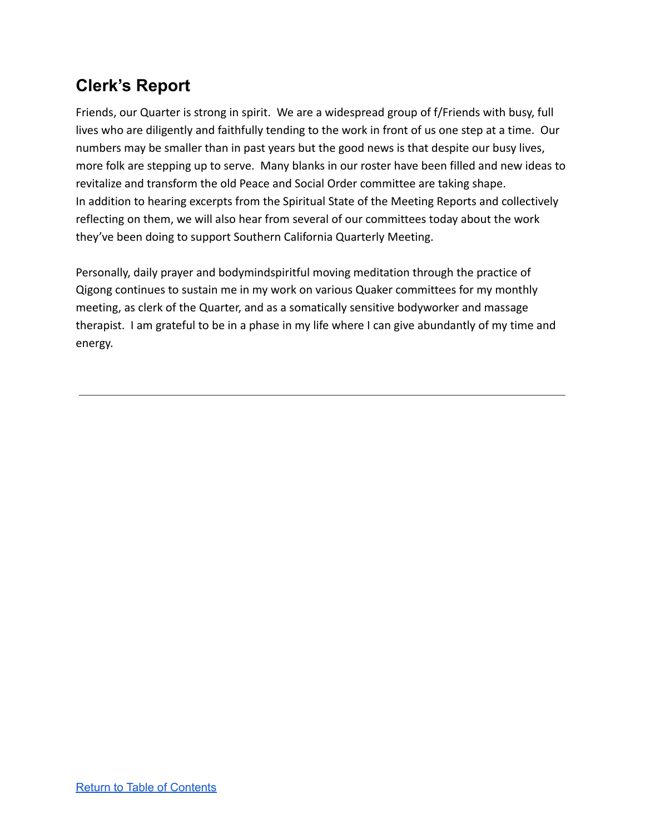# <span id="page-6-0"></span>**Clerk's Report**

Friends, our Quarter is strong in spirit. We are a widespread group of f/Friends with busy, full lives who are diligently and faithfully tending to the work in front of us one step at a time. Our numbers may be smaller than in past years but the good news is that despite our busy lives, more folk are stepping up to serve. Many blanks in our roster have been filled and new ideas to revitalize and transform the old Peace and Social Order committee are taking shape. In addition to hearing excerpts from the Spiritual State of the Meeting Reports and collectively reflecting on them, we will also hear from several of our committees today about the work they've been doing to support Southern California Quarterly Meeting.

Personally, daily prayer and bodymindspiritful moving meditation through the practice of Qigong continues to sustain me in my work on various Quaker committees for my monthly meeting, as clerk of the Quarter, and as a somatically sensitive bodyworker and massage therapist. I am grateful to be in a phase in my life where I can give abundantly of my time and energy.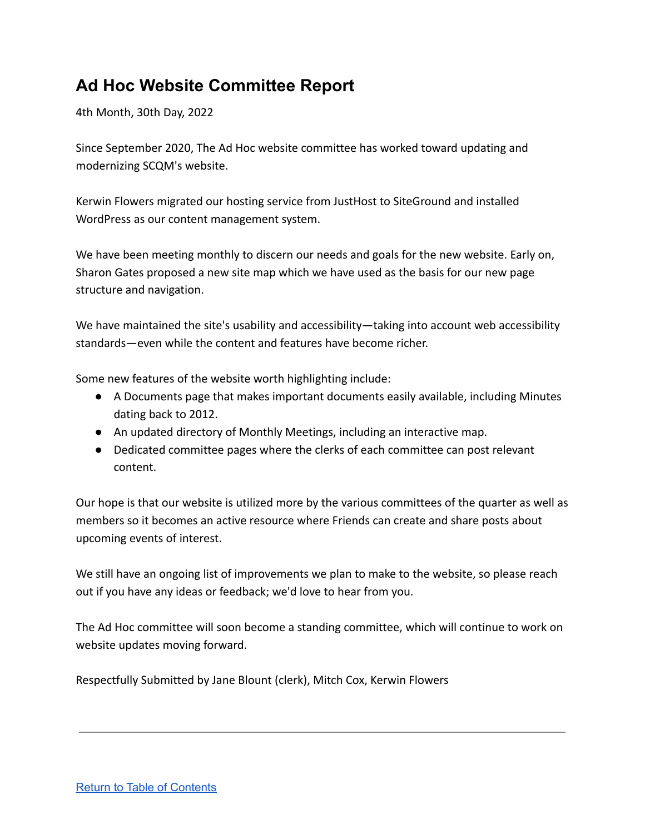# <span id="page-7-0"></span>**Ad Hoc Website Committee Report**

4th Month, 30th Day, 2022

Since September 2020, The Ad Hoc website committee has worked toward updating and modernizing SCQM's website.

Kerwin Flowers migrated our hosting service from JustHost to SiteGround and installed WordPress as our content management system.

We have been meeting monthly to discern our needs and goals for the new website. Early on, Sharon Gates proposed a new site map which we have used as the basis for our new page structure and navigation.

We have maintained the site's usability and accessibility—taking into account web accessibility standards—even while the content and features have become richer.

Some new features of the website worth highlighting include:

- A Documents page that makes important documents easily available, including Minutes dating back to 2012.
- An updated directory of Monthly Meetings, including an interactive map.
- Dedicated committee pages where the clerks of each committee can post relevant content.

Our hope is that our website is utilized more by the various committees of the quarter as well as members so it becomes an active resource where Friends can create and share posts about upcoming events of interest.

We still have an ongoing list of improvements we plan to make to the website, so please reach out if you have any ideas or feedback; we'd love to hear from you.

The Ad Hoc committee will soon become a standing committee, which will continue to work on website updates moving forward.

Respectfully Submitted by Jane Blount (clerk), Mitch Cox, Kerwin Flowers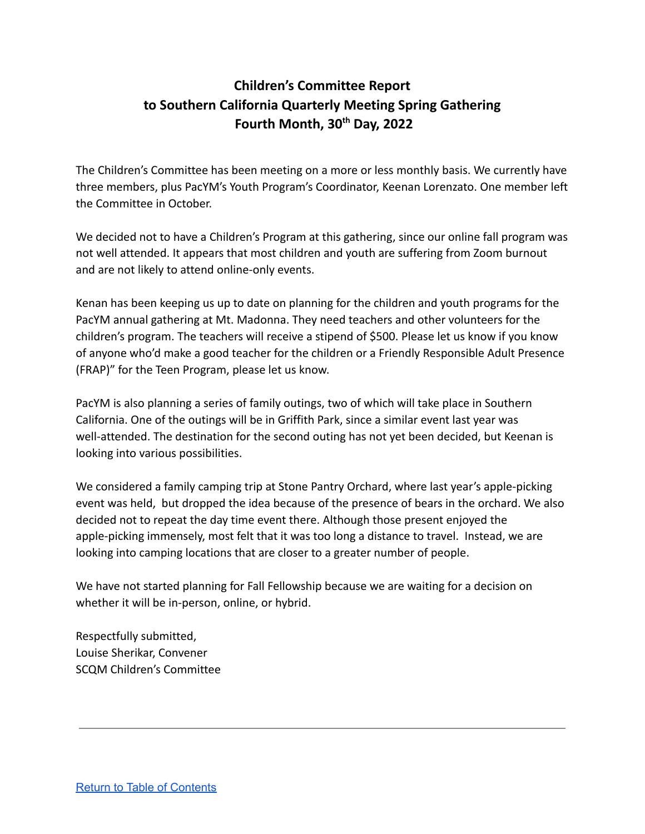# <span id="page-8-0"></span>**Children's Committee Report to Southern California Quarterly Meeting Spring Gathering Fourth Month, 30 th Day, 2022**

The Children's Committee has been meeting on a more or less monthly basis. We currently have three members, plus PacYM's Youth Program's Coordinator, Keenan Lorenzato. One member left the Committee in October.

We decided not to have a Children's Program at this gathering, since our online fall program was not well attended. It appears that most children and youth are suffering from Zoom burnout and are not likely to attend online-only events.

Kenan has been keeping us up to date on planning for the children and youth programs for the PacYM annual gathering at Mt. Madonna. They need teachers and other volunteers for the children's program. The teachers will receive a stipend of \$500. Please let us know if you know of anyone who'd make a good teacher for the children or a Friendly Responsible Adult Presence (FRAP)" for the Teen Program, please let us know.

PacYM is also planning a series of family outings, two of which will take place in Southern California. One of the outings will be in Griffith Park, since a similar event last year was well-attended. The destination for the second outing has not yet been decided, but Keenan is looking into various possibilities.

We considered a family camping trip at Stone Pantry Orchard, where last year's apple-picking event was held, but dropped the idea because of the presence of bears in the orchard. We also decided not to repeat the day time event there. Although those present enjoyed the apple-picking immensely, most felt that it was too long a distance to travel. Instead, we are looking into camping locations that are closer to a greater number of people.

We have not started planning for Fall Fellowship because we are waiting for a decision on whether it will be in-person, online, or hybrid.

Respectfully submitted, Louise Sherikar, Convener SCQM Children's Committee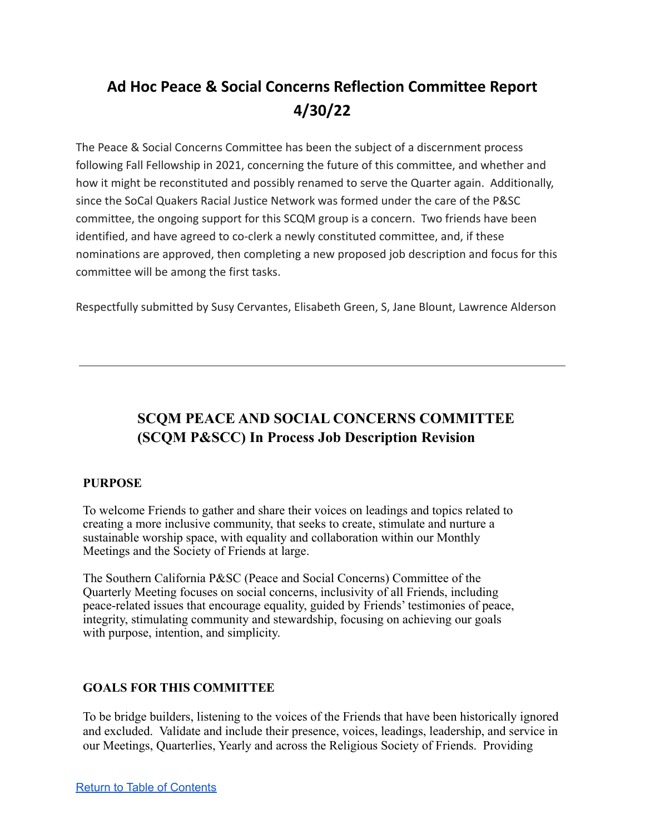# <span id="page-9-0"></span>**Ad Hoc Peace & Social Concerns Reflection Committee Report 4/30/22**

The Peace & Social Concerns Committee has been the subject of a discernment process following Fall Fellowship in 2021, concerning the future of this committee, and whether and how it might be reconstituted and possibly renamed to serve the Quarter again. Additionally, since the SoCal Quakers Racial Justice Network was formed under the care of the P&SC committee, the ongoing support for this SCQM group is a concern. Two friends have been identified, and have agreed to co-clerk a newly constituted committee, and, if these nominations are approved, then completing a new proposed job description and focus for this committee will be among the first tasks.

Respectfully submitted by Susy Cervantes, Elisabeth Green, S, Jane Blount, Lawrence Alderson

## <span id="page-9-1"></span>**SCQM PEACE AND SOCIAL CONCERNS COMMITTEE (SCQM P&SCC) In Process Job Description Revision**

### **PURPOSE**

To welcome Friends to gather and share their voices on leadings and topics related to creating a more inclusive community, that seeks to create, stimulate and nurture a sustainable worship space, with equality and collaboration within our Monthly Meetings and the Society of Friends at large.

The Southern California P&SC (Peace and Social Concerns) Committee of the Quarterly Meeting focuses on social concerns, inclusivity of all Friends, including peace-related issues that encourage equality, guided by Friends' testimonies of peace, integrity, stimulating community and stewardship, focusing on achieving our goals with purpose, intention, and simplicity.

### **GOALS FOR THIS COMMITTEE**

To be bridge builders, listening to the voices of the Friends that have been historically ignored and excluded. Validate and include their presence, voices, leadings, leadership, and service in our Meetings, Quarterlies, Yearly and across the Religious Society of Friends. Providing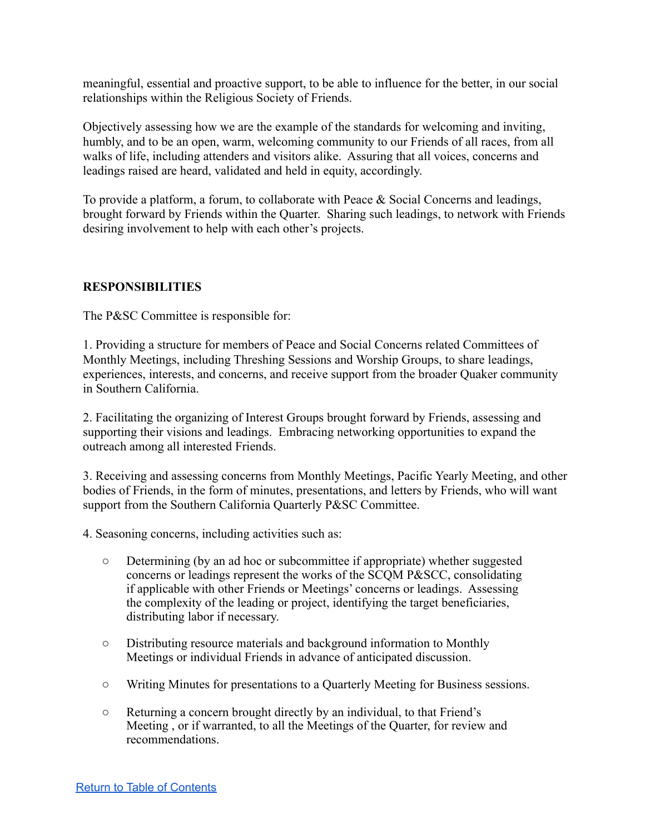meaningful, essential and proactive support, to be able to influence for the better, in our social relationships within the Religious Society of Friends.

Objectively assessing how we are the example of the standards for welcoming and inviting, humbly, and to be an open, warm, welcoming community to our Friends of all races, from all walks of life, including attenders and visitors alike. Assuring that all voices, concerns and leadings raised are heard, validated and held in equity, accordingly.

To provide a platform, a forum, to collaborate with Peace & Social Concerns and leadings, brought forward by Friends within the Quarter. Sharing such leadings, to network with Friends desiring involvement to help with each other's projects.

### **RESPONSIBILITIES**

The P&SC Committee is responsible for:

1. Providing a structure for members of Peace and Social Concerns related Committees of Monthly Meetings, including Threshing Sessions and Worship Groups, to share leadings, experiences, interests, and concerns, and receive support from the broader Quaker community in Southern California.

2. Facilitating the organizing of Interest Groups brought forward by Friends, assessing and supporting their visions and leadings. Embracing networking opportunities to expand the outreach among all interested Friends.

3. Receiving and assessing concerns from Monthly Meetings, Pacific Yearly Meeting, and other bodies of Friends, in the form of minutes, presentations, and letters by Friends, who will want support from the Southern California Quarterly P&SC Committee.

- 4. Seasoning concerns, including activities such as:
	- Determining (by an ad hoc or subcommittee if appropriate) whether suggested concerns or leadings represent the works of the SCQM P&SCC, consolidating if applicable with other Friends or Meetings' concerns or leadings. Assessing the complexity of the leading or project, identifying the target beneficiaries, distributing labor if necessary.
	- Distributing resource materials and background information to Monthly Meetings or individual Friends in advance of anticipated discussion.
	- Writing Minutes for presentations to a Quarterly Meeting for Business sessions.
	- Returning a concern brought directly by an individual, to that Friend's Meeting , or if warranted, to all the Meetings of the Quarter, for review and recommendations.